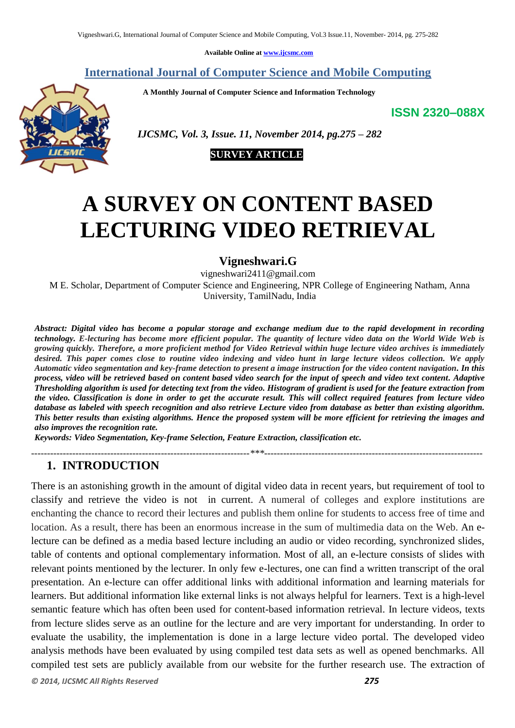**Available Online at [www.ijcsmc.com](http://www.ijcsmc.com/)**

#### **International Journal of Computer Science and Mobile Computing**

 **A Monthly Journal of Computer Science and Information Technology**

**ISSN 2320–088X**



 *IJCSMC, Vol. 3, Issue. 11, November 2014, pg.275 – 282*



# **A SURVEY ON CONTENT BASED LECTURING VIDEO RETRIEVAL**

#### **Vigneshwari.G**

vigneshwari2411@gmail.com M E. Scholar, Department of Computer Science and Engineering, NPR College of Engineering Natham, Anna University, TamilNadu, India

*Abstract: Digital video has become a popular storage and exchange medium due to the rapid development in recording technology. E-lecturing has become more efficient popular. The quantity of lecture video data on the World Wide Web is growing quickly. Therefore, a more proficient method for Video Retrieval within huge lecture video archives is immediately desired. This paper comes close to routine video indexing and video hunt in large lecture videos collection. We apply Automatic video segmentation and key-frame detection to present a image instruction for the video content navigation. In this process, video will be retrieved based on content based video search for the input of speech and video text content. Adaptive Thresholding algorithm is used for detecting text from the video. Histogram of gradient is used for the feature extraction from the video. Classification is done in order to get the accurate result. This will collect required features from lecture video database as labeled with speech recognition and also retrieve Lecture video from database as better than existing algorithm. This better results than existing algorithms. Hence the proposed system will be more efficient for retrieving the images and also improves the recognition rate.*

*---------------------------------------------------------------------\*\*\*---------------------------------------------------------------------*

*Keywords: Video Segmentation, Key-frame Selection, Feature Extraction, classification etc.*

#### **1. INTRODUCTION**

There is an astonishing growth in the amount of digital video data in recent years, but requirement of tool to classify and retrieve the video is not in current. A numeral of colleges and explore institutions are enchanting the chance to record their lectures and publish them online for students to access free of time and location. As a result, there has been an enormous increase in the sum of multimedia data on the Web. An electure can be defined as a media based lecture including an audio or video recording, synchronized slides, table of contents and optional complementary information. Most of all, an e-lecture consists of slides with relevant points mentioned by the lecturer. In only few e-lectures, one can find a written transcript of the oral presentation. An e-lecture can offer additional links with additional information and learning materials for learners. But additional information like external links is not always helpful for learners. Text is a high-level semantic feature which has often been used for content-based information retrieval. In lecture videos, texts from lecture slides serve as an outline for the lecture and are very important for understanding. In order to evaluate the usability, the implementation is done in a large lecture video portal. The developed video analysis methods have been evaluated by using compiled test data sets as well as opened benchmarks. All compiled test sets are publicly available from our website for the further research use. The extraction of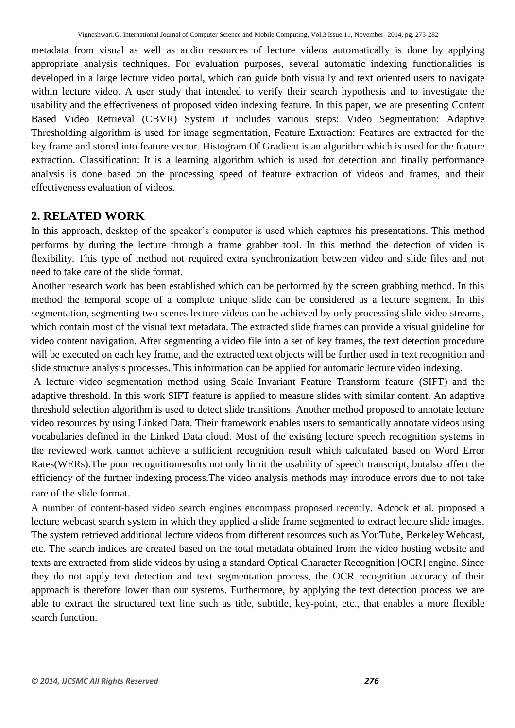metadata from visual as well as audio resources of lecture videos automatically is done by applying appropriate analysis techniques. For evaluation purposes, several automatic indexing functionalities is developed in a large lecture video portal, which can guide both visually and text oriented users to navigate within lecture video. A user study that intended to verify their search hypothesis and to investigate the usability and the effectiveness of proposed video indexing feature. In this paper, we are presenting Content Based Video Retrieval (CBVR) System it includes various steps: Video Segmentation: Adaptive Thresholding algorithm is used for image segmentation, Feature Extraction: Features are extracted for the key frame and stored into feature vector. Histogram Of Gradient is an algorithm which is used for the feature extraction. Classification: It is a learning algorithm which is used for detection and finally performance analysis is done based on the processing speed of feature extraction of videos and frames, and their effectiveness evaluation of videos.

# **2. RELATED WORK**

In this approach, desktop of the speaker's computer is used which captures his presentations. This method performs by during the lecture through a frame grabber tool. In this method the detection of video is flexibility. This type of method not required extra synchronization between video and slide files and not need to take care of the slide format.

Another research work has been established which can be performed by the screen grabbing method. In this method the temporal scope of a complete unique slide can be considered as a lecture segment. In this segmentation, segmenting two scenes lecture videos can be achieved by only processing slide video streams, which contain most of the visual text metadata. The extracted slide frames can provide a visual guideline for video content navigation. After segmenting a video file into a set of key frames, the text detection procedure will be executed on each key frame, and the extracted text objects will be further used in text recognition and slide structure analysis processes. This information can be applied for automatic lecture video indexing.

A lecture video segmentation method using Scale Invariant Feature Transform feature (SIFT) and the adaptive threshold. In this work SIFT feature is applied to measure slides with similar content. An adaptive threshold selection algorithm is used to detect slide transitions. Another method proposed to annotate lecture video resources by using Linked Data. Their framework enables users to semantically annotate videos using vocabularies defined in the Linked Data cloud. Most of the existing lecture speech recognition systems in the reviewed work cannot achieve a sufficient recognition result which calculated based on Word Error Rates(WERs).The poor recognitionresults not only limit the usability of speech transcript, butalso affect the efficiency of the further indexing process.The video analysis methods may introduce errors due to not take care of the slide format.

A number of content-based video search engines encompass proposed recently. Adcock et al. proposed a lecture webcast search system in which they applied a slide frame segmented to extract lecture slide images. The system retrieved additional lecture videos from different resources such as YouTube, Berkeley Webcast, etc. The search indices are created based on the total metadata obtained from the video hosting website and texts are extracted from slide videos by using a standard Optical Character Recognition [OCR] engine. Since they do not apply text detection and text segmentation process, the OCR recognition accuracy of their approach is therefore lower than our systems. Furthermore, by applying the text detection process we are able to extract the structured text line such as title, subtitle, key-point, etc., that enables a more flexible search function.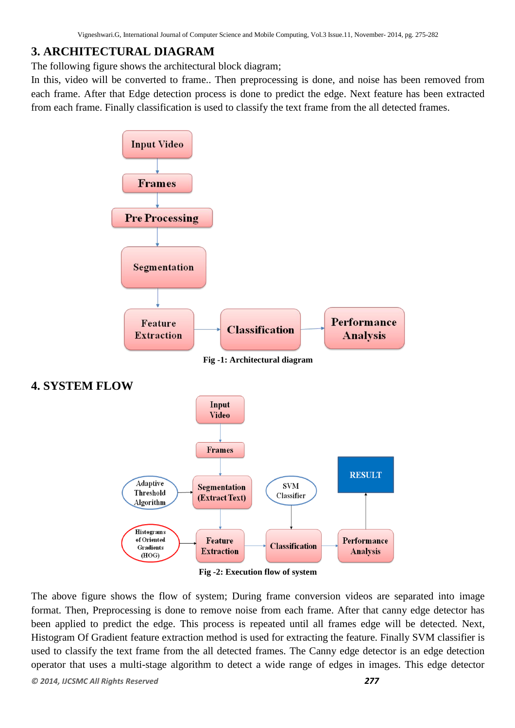# **3. ARCHITECTURAL DIAGRAM**

The following figure shows the architectural block diagram;

In this, video will be converted to frame.. Then preprocessing is done, and noise has been removed from each frame. After that Edge detection process is done to predict the edge. Next feature has been extracted from each frame. Finally classification is used to classify the text frame from the all detected frames.



The above figure shows the flow of system; During frame conversion videos are separated into image format. Then, Preprocessing is done to remove noise from each frame. After that canny edge detector has been applied to predict the edge. This process is repeated until all frames edge will be detected. Next, Histogram Of Gradient feature extraction method is used for extracting the feature. Finally SVM classifier is used to classify the text frame from the all detected frames. The Canny edge detector is an edge detection operator that uses a multi-stage algorithm to detect a wide range of edges in images. This edge detector

*© 2014, IJCSMC All Rights Reserved 277*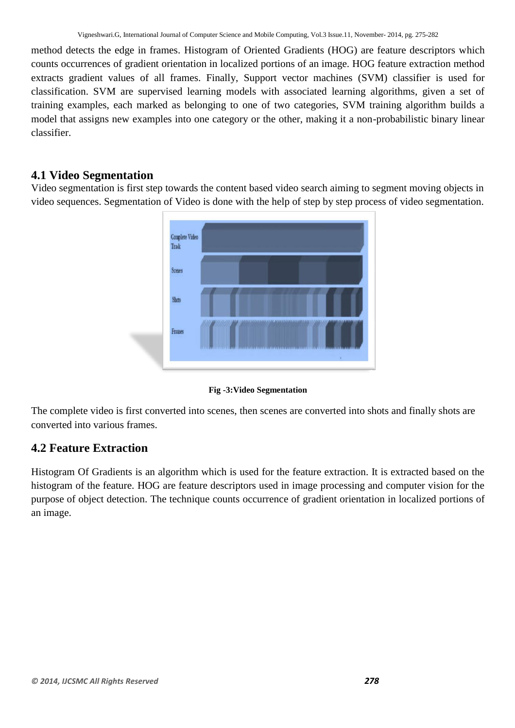method detects the edge in frames. Histogram of Oriented Gradients (HOG) are feature descriptors which counts occurrences of gradient orientation in localized portions of an image. HOG feature extraction method extracts gradient values of all frames. Finally, Support vector machines (SVM) classifier is used for classification. SVM are supervised learning models with associated learning algorithms, given a set of training examples, each marked as belonging to one of two categories, SVM training algorithm builds a model that assigns new examples into one category or the other, making it a non-probabilistic binary linear classifier.

## **4.1 Video Segmentation**

Video segmentation is first step towards the content based video search aiming to segment moving objects in video sequences. Segmentation of Video is done with the help of step by step process of video segmentation.



**Fig -3:Video Segmentation**

The complete video is first converted into scenes, then scenes are converted into shots and finally shots are converted into various frames.

## **4.2 Feature Extraction**

Histogram Of Gradients is an algorithm which is used for the feature extraction. It is extracted based on the histogram of the feature. HOG are feature descriptors used in image processing and computer vision for the purpose of object detection. The technique counts occurrence of gradient orientation in localized portions of an image.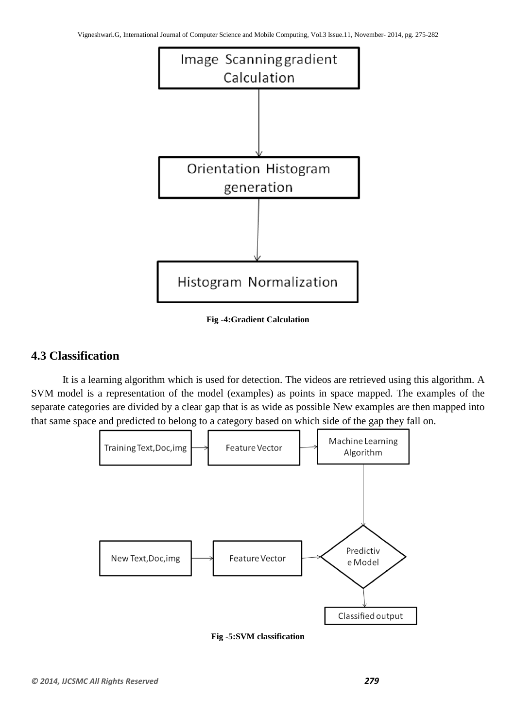

**Fig -4:Gradient Calculation**

## **4.3 Classification**

It is a learning algorithm which is used for detection. The videos are retrieved using this algorithm. A SVM model is a representation of the model (examples) as points in space mapped. The examples of the separate categories are divided by a clear gap that is as wide as possible New examples are then mapped into that same space and predicted to belong to a category based on which side of the gap they fall on.



**Fig -5:SVM classification**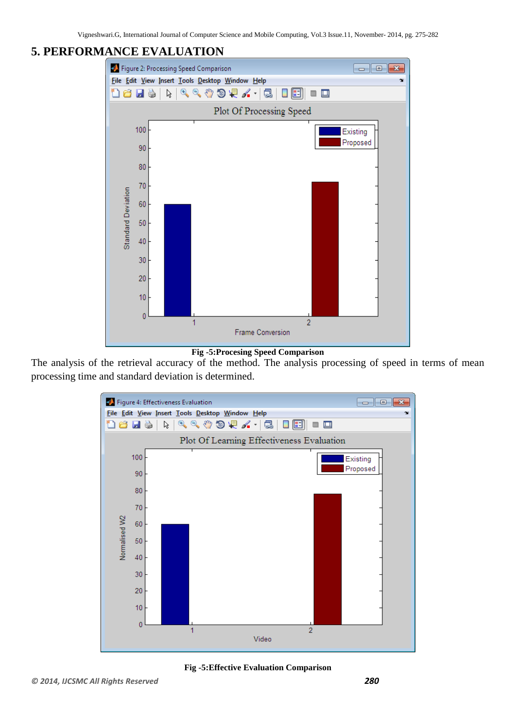Vigneshwari.G, International Journal of Computer Science and Mobile Computing, Vol.3 Issue.11, November- 2014, pg. 275-282

# **5. PERFORMANCE EVALUATION**



The analysis of the retrieval accuracy of the method. The analysis processing of speed in terms of mean processing time and standard deviation is determined.



**Fig -5:Effective Evaluation Comparison**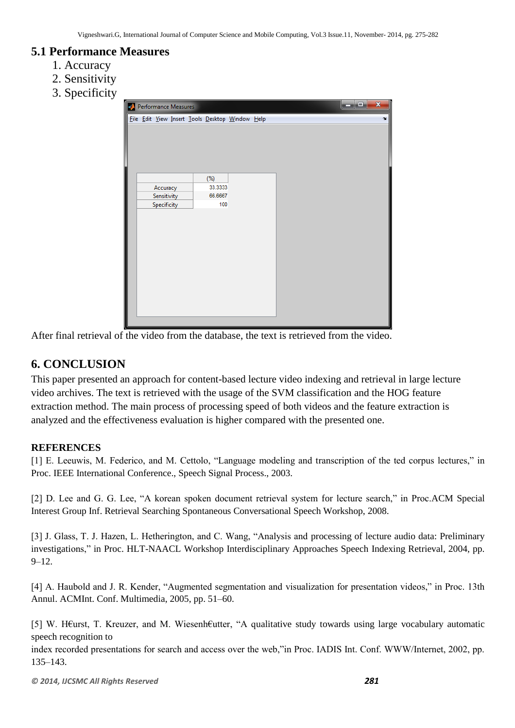## **5.1 Performance Measures**

- 1. Accuracy
- 2. Sensitivity
- 3. Specificity

| $\mathbf{x}$<br>أكراحه<br><b>A</b> Performance Measures |  |                            |  |  |                    |                                                 |  |  |  |  |  |              |
|---------------------------------------------------------|--|----------------------------|--|--|--------------------|-------------------------------------------------|--|--|--|--|--|--------------|
|                                                         |  |                            |  |  |                    | File Edit View Insert Tools Desktop Window Help |  |  |  |  |  | $\mathbf{v}$ |
|                                                         |  |                            |  |  |                    |                                                 |  |  |  |  |  |              |
|                                                         |  |                            |  |  |                    |                                                 |  |  |  |  |  |              |
|                                                         |  |                            |  |  |                    |                                                 |  |  |  |  |  |              |
|                                                         |  |                            |  |  |                    |                                                 |  |  |  |  |  |              |
|                                                         |  |                            |  |  |                    |                                                 |  |  |  |  |  |              |
|                                                         |  |                            |  |  | $(\%)$             |                                                 |  |  |  |  |  |              |
|                                                         |  | Accuracy                   |  |  | 33.3333<br>66.6667 |                                                 |  |  |  |  |  |              |
|                                                         |  | Sensitivity<br>Specificity |  |  | 100                |                                                 |  |  |  |  |  |              |
|                                                         |  |                            |  |  |                    |                                                 |  |  |  |  |  |              |
|                                                         |  |                            |  |  |                    |                                                 |  |  |  |  |  |              |
|                                                         |  |                            |  |  |                    |                                                 |  |  |  |  |  |              |
|                                                         |  |                            |  |  |                    |                                                 |  |  |  |  |  |              |
|                                                         |  |                            |  |  |                    |                                                 |  |  |  |  |  |              |
|                                                         |  |                            |  |  |                    |                                                 |  |  |  |  |  |              |
|                                                         |  |                            |  |  |                    |                                                 |  |  |  |  |  |              |
|                                                         |  |                            |  |  |                    |                                                 |  |  |  |  |  |              |
|                                                         |  |                            |  |  |                    |                                                 |  |  |  |  |  |              |
|                                                         |  |                            |  |  |                    |                                                 |  |  |  |  |  |              |
|                                                         |  |                            |  |  |                    |                                                 |  |  |  |  |  |              |

After final retrieval of the video from the database, the text is retrieved from the video.

# **6. CONCLUSION**

This paper presented an approach for content-based lecture video indexing and retrieval in large lecture video archives. The text is retrieved with the usage of the SVM classification and the HOG feature extraction method. The main process of processing speed of both videos and the feature extraction is analyzed and the effectiveness evaluation is higher compared with the presented one.

#### **REFERENCES**

[1] E. Leeuwis, M. Federico, and M. Cettolo, "Language modeling and transcription of the ted corpus lectures," in Proc. IEEE International Conference., Speech Signal Process., 2003.

[2] D. Lee and G. G. Lee, "A korean spoken document retrieval system for lecture search," in Proc.ACM Special Interest Group Inf. Retrieval Searching Spontaneous Conversational Speech Workshop, 2008.

[3] J. Glass, T. J. Hazen, L. Hetherington, and C. Wang, "Analysis and processing of lecture audio data: Preliminary investigations," in Proc. HLT-NAACL Workshop Interdisciplinary Approaches Speech Indexing Retrieval, 2004, pp. 9–12.

[4] A. Haubold and J. R. Kender, "Augmented segmentation and visualization for presentation videos," in Proc. 13th Annul. ACMInt. Conf. Multimedia, 2005, pp. 51–60.

[5] W. H€urst, T. Kreuzer, and M. Wiesenh€utter, "A qualitative study towards using large vocabulary automatic speech recognition to

index recorded presentations for search and access over the web,"in Proc. IADIS Int. Conf. WWW/Internet, 2002, pp. 135–143.